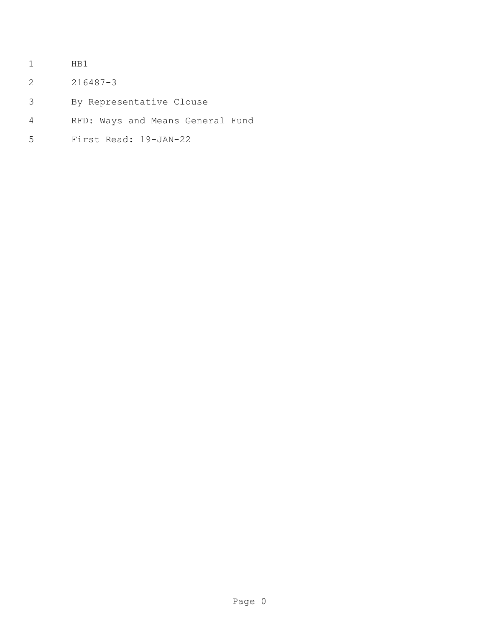- HB1
- 216487-3
- By Representative Clouse
- RFD: Ways and Means General Fund
- First Read: 19-JAN-22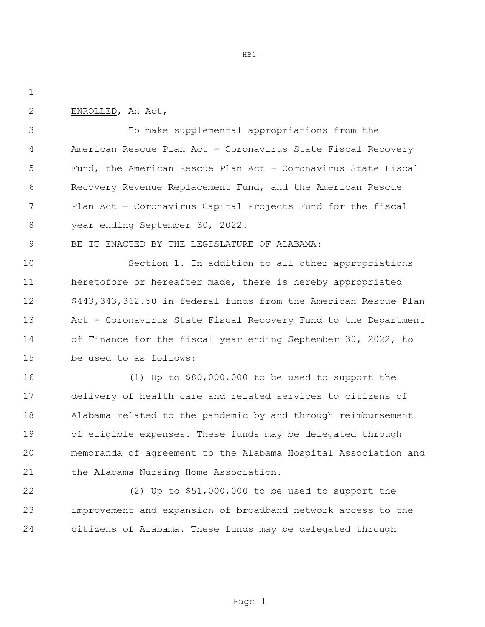ENROLLED, An Act,

 To make supplemental appropriations from the American Rescue Plan Act - Coronavirus State Fiscal Recovery Fund, the American Rescue Plan Act - Coronavirus State Fiscal Recovery Revenue Replacement Fund, and the American Rescue Plan Act - Coronavirus Capital Projects Fund for the fiscal year ending September 30, 2022.

BE IT ENACTED BY THE LEGISLATURE OF ALABAMA:

 Section 1. In addition to all other appropriations heretofore or hereafter made, there is hereby appropriated \$443,343,362.50 in federal funds from the American Rescue Plan Act - Coronavirus State Fiscal Recovery Fund to the Department of Finance for the fiscal year ending September 30, 2022, to be used to as follows:

 (1) Up to \$80,000,000 to be used to support the delivery of health care and related services to citizens of Alabama related to the pandemic by and through reimbursement of eligible expenses. These funds may be delegated through memoranda of agreement to the Alabama Hospital Association and the Alabama Nursing Home Association.

 (2) Up to \$51,000,000 to be used to support the improvement and expansion of broadband network access to the citizens of Alabama. These funds may be delegated through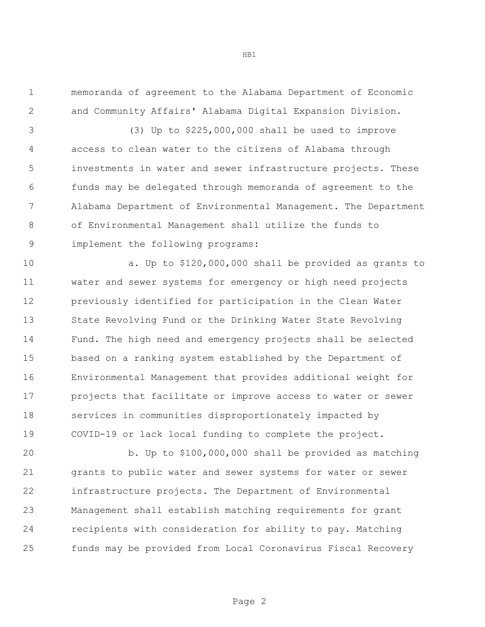memoranda of agreement to the Alabama Department of Economic and Community Affairs' Alabama Digital Expansion Division.

 (3) Up to \$225,000,000 shall be used to improve access to clean water to the citizens of Alabama through investments in water and sewer infrastructure projects. These funds may be delegated through memoranda of agreement to the Alabama Department of Environmental Management. The Department of Environmental Management shall utilize the funds to implement the following programs:

 a. Up to \$120,000,000 shall be provided as grants to water and sewer systems for emergency or high need projects previously identified for participation in the Clean Water State Revolving Fund or the Drinking Water State Revolving Fund. The high need and emergency projects shall be selected based on a ranking system established by the Department of Environmental Management that provides additional weight for projects that facilitate or improve access to water or sewer services in communities disproportionately impacted by COVID-19 or lack local funding to complete the project.

 b. Up to \$100,000,000 shall be provided as matching grants to public water and sewer systems for water or sewer infrastructure projects. The Department of Environmental Management shall establish matching requirements for grant recipients with consideration for ability to pay. Matching funds may be provided from Local Coronavirus Fiscal Recovery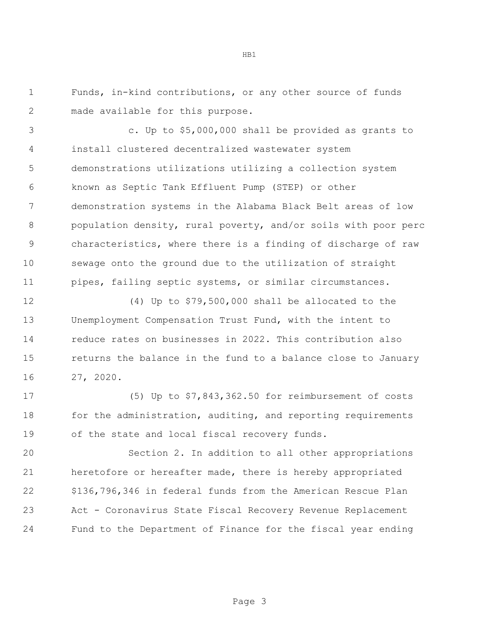Funds, in-kind contributions, or any other source of funds made available for this purpose.

 c. Up to \$5,000,000 shall be provided as grants to install clustered decentralized wastewater system demonstrations utilizations utilizing a collection system known as Septic Tank Effluent Pump (STEP) or other demonstration systems in the Alabama Black Belt areas of low population density, rural poverty, and/or soils with poor perc characteristics, where there is a finding of discharge of raw sewage onto the ground due to the utilization of straight pipes, failing septic systems, or similar circumstances.

 (4) Up to \$79,500,000 shall be allocated to the Unemployment Compensation Trust Fund, with the intent to reduce rates on businesses in 2022. This contribution also returns the balance in the fund to a balance close to January 27, 2020.

 (5) Up to \$7,843,362.50 for reimbursement of costs 18 for the administration, auditing, and reporting requirements of the state and local fiscal recovery funds.

 Section 2. In addition to all other appropriations heretofore or hereafter made, there is hereby appropriated \$136,796,346 in federal funds from the American Rescue Plan Act - Coronavirus State Fiscal Recovery Revenue Replacement Fund to the Department of Finance for the fiscal year ending

Page 3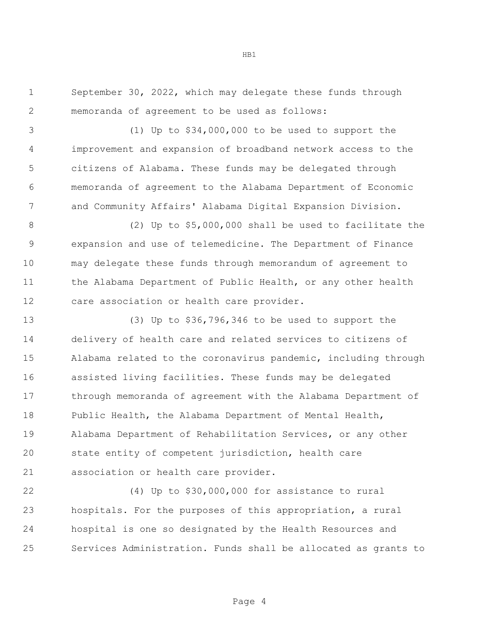September 30, 2022, which may delegate these funds through memoranda of agreement to be used as follows:

 (1) Up to \$34,000,000 to be used to support the improvement and expansion of broadband network access to the citizens of Alabama. These funds may be delegated through memoranda of agreement to the Alabama Department of Economic and Community Affairs' Alabama Digital Expansion Division.

 (2) Up to \$5,000,000 shall be used to facilitate the expansion and use of telemedicine. The Department of Finance may delegate these funds through memorandum of agreement to 11 the Alabama Department of Public Health, or any other health care association or health care provider.

 (3) Up to \$36,796,346 to be used to support the delivery of health care and related services to citizens of Alabama related to the coronavirus pandemic, including through assisted living facilities. These funds may be delegated through memoranda of agreement with the Alabama Department of Public Health, the Alabama Department of Mental Health, Alabama Department of Rehabilitation Services, or any other state entity of competent jurisdiction, health care association or health care provider.

 (4) Up to \$30,000,000 for assistance to rural hospitals. For the purposes of this appropriation, a rural hospital is one so designated by the Health Resources and Services Administration. Funds shall be allocated as grants to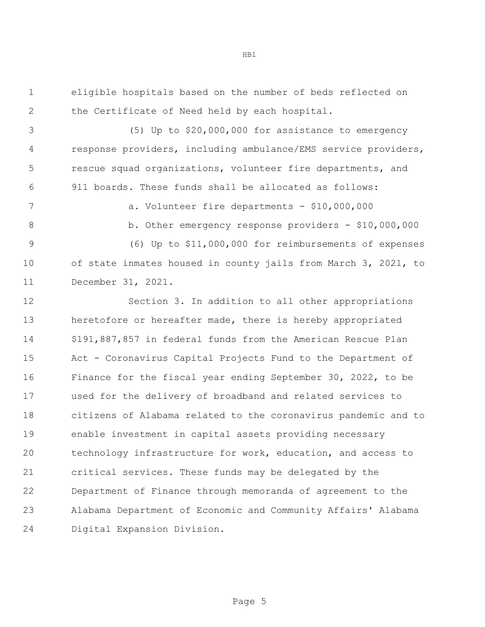eligible hospitals based on the number of beds reflected on the Certificate of Need held by each hospital.

 (5) Up to \$20,000,000 for assistance to emergency response providers, including ambulance/EMS service providers, rescue squad organizations, volunteer fire departments, and 911 boards. These funds shall be allocated as follows:

a. Volunteer fire departments - \$10,000,000

8 b. Other emergency response providers - \$10,000,000

 (6) Up to \$11,000,000 for reimbursements of expenses of state inmates housed in county jails from March 3, 2021, to

December 31, 2021.

 Section 3. In addition to all other appropriations 13 heretofore or hereafter made, there is hereby appropriated \$191,887,857 in federal funds from the American Rescue Plan Act - Coronavirus Capital Projects Fund to the Department of Finance for the fiscal year ending September 30, 2022, to be used for the delivery of broadband and related services to citizens of Alabama related to the coronavirus pandemic and to enable investment in capital assets providing necessary technology infrastructure for work, education, and access to critical services. These funds may be delegated by the Department of Finance through memoranda of agreement to the Alabama Department of Economic and Community Affairs' Alabama Digital Expansion Division.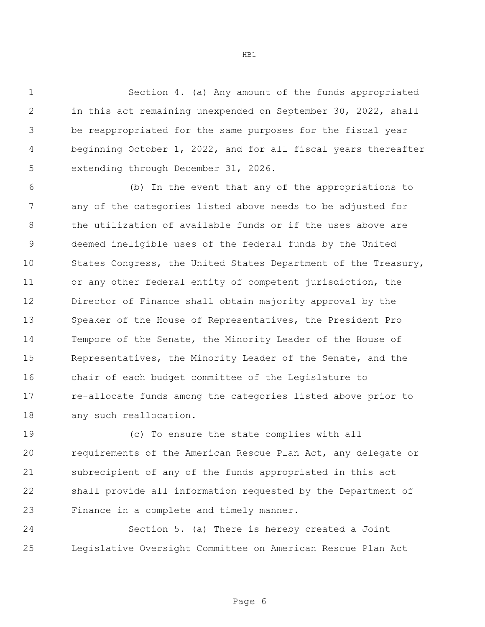Section 4. (a) Any amount of the funds appropriated in this act remaining unexpended on September 30, 2022, shall be reappropriated for the same purposes for the fiscal year beginning October 1, 2022, and for all fiscal years thereafter extending through December 31, 2026.

 (b) In the event that any of the appropriations to any of the categories listed above needs to be adjusted for 8 the utilization of available funds or if the uses above are deemed ineligible uses of the federal funds by the United States Congress, the United States Department of the Treasury, or any other federal entity of competent jurisdiction, the Director of Finance shall obtain majority approval by the Speaker of the House of Representatives, the President Pro Tempore of the Senate, the Minority Leader of the House of Representatives, the Minority Leader of the Senate, and the chair of each budget committee of the Legislature to re-allocate funds among the categories listed above prior to any such reallocation.

 (c) To ensure the state complies with all requirements of the American Rescue Plan Act, any delegate or subrecipient of any of the funds appropriated in this act shall provide all information requested by the Department of Finance in a complete and timely manner.

 Section 5. (a) There is hereby created a Joint Legislative Oversight Committee on American Rescue Plan Act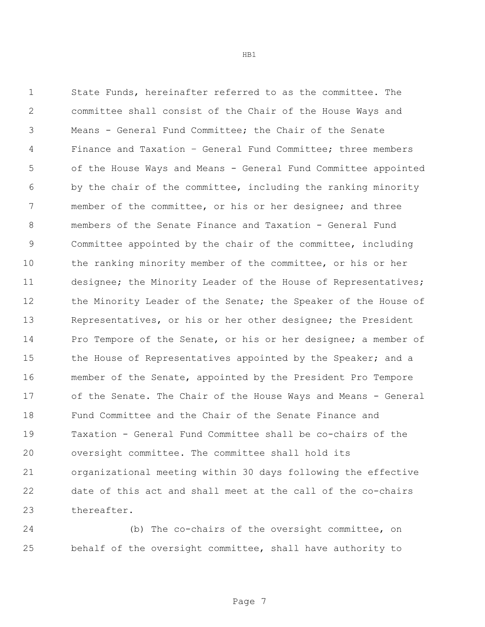State Funds, hereinafter referred to as the committee. The committee shall consist of the Chair of the House Ways and Means - General Fund Committee; the Chair of the Senate Finance and Taxation – General Fund Committee; three members of the House Ways and Means - General Fund Committee appointed by the chair of the committee, including the ranking minority member of the committee, or his or her designee; and three members of the Senate Finance and Taxation - General Fund Committee appointed by the chair of the committee, including the ranking minority member of the committee, or his or her designee; the Minority Leader of the House of Representatives; 12 the Minority Leader of the Senate; the Speaker of the House of Representatives, or his or her other designee; the President Pro Tempore of the Senate, or his or her designee; a member of 15 the House of Representatives appointed by the Speaker; and a member of the Senate, appointed by the President Pro Tempore of the Senate. The Chair of the House Ways and Means - General Fund Committee and the Chair of the Senate Finance and Taxation - General Fund Committee shall be co-chairs of the oversight committee. The committee shall hold its organizational meeting within 30 days following the effective date of this act and shall meet at the call of the co-chairs thereafter.

 (b) The co-chairs of the oversight committee, on behalf of the oversight committee, shall have authority to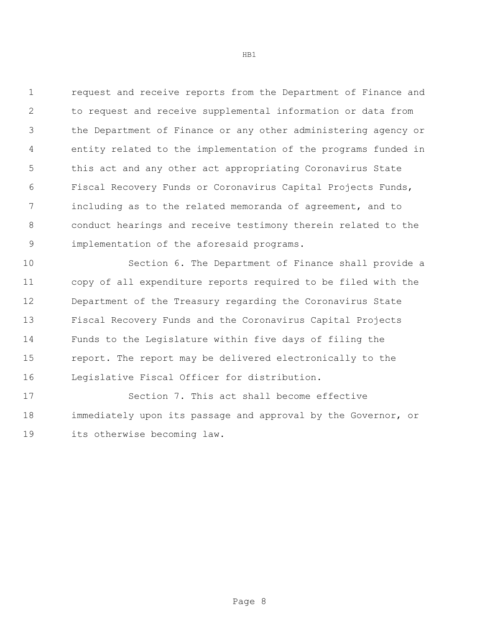request and receive reports from the Department of Finance and to request and receive supplemental information or data from the Department of Finance or any other administering agency or entity related to the implementation of the programs funded in this act and any other act appropriating Coronavirus State Fiscal Recovery Funds or Coronavirus Capital Projects Funds, including as to the related memoranda of agreement, and to conduct hearings and receive testimony therein related to the implementation of the aforesaid programs.

 Section 6. The Department of Finance shall provide a copy of all expenditure reports required to be filed with the Department of the Treasury regarding the Coronavirus State Fiscal Recovery Funds and the Coronavirus Capital Projects Funds to the Legislature within five days of filing the report. The report may be delivered electronically to the Legislative Fiscal Officer for distribution.

 Section 7. This act shall become effective immediately upon its passage and approval by the Governor, or its otherwise becoming law.